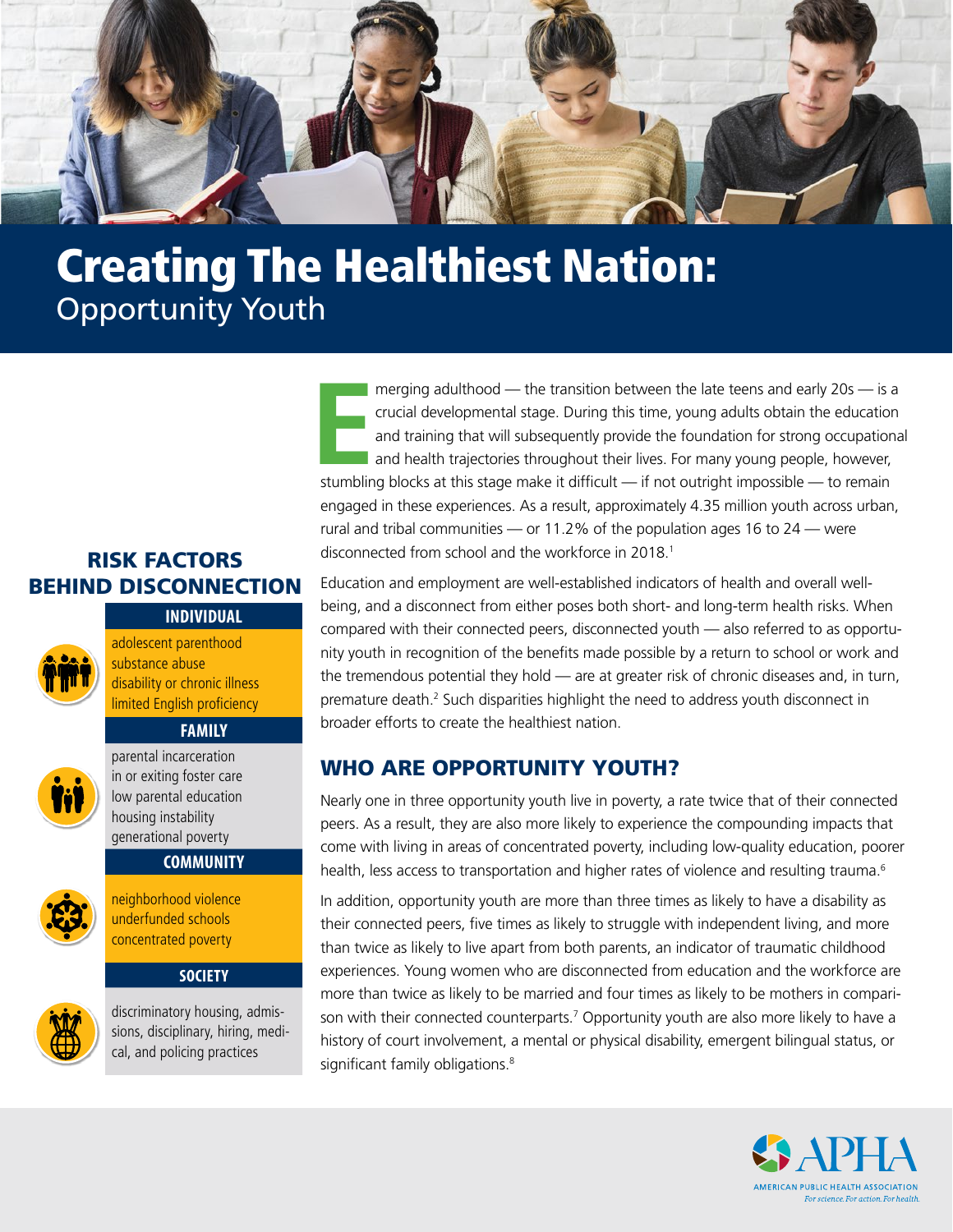

# Creating The Healthiest Nation: Opportunity Youth

## RISK FACTORS BEHIND DISCONNECTION

#### **INDIVIDUAL**

adolescent parenthood substance abuse disability or chronic illness limited English proficiency

### **FAMILY**



parental incarceration in or exiting foster care low parental education housing instability generational poverty

#### **COMMUNITY**



neighborhood violence underfunded schools concentrated poverty

#### **SOCIETY**



discriminatory housing, admissions, disciplinary, hiring, medical, and policing practices

**E**<br>Stumblin merging adulthood — the transition between the late teens and early 20s — is a crucial developmental stage. During this time, young adults obtain the education and training that will subsequently provide the foundation for strong occupational and health trajectories throughout their lives. For many young people, however, stumbling blocks at this stage make it difficult  $-$  if not outright impossible  $-$  to remain engaged in these experiences. As a result, approximately 4.35 million youth across urban, rural and tribal communities — or 11.2% of the population ages 16 to 24 — were disconnected from school and the workforce in 2018.<sup>1</sup>

Education and employment are well-established indicators of health and overall wellbeing, and a disconnect from either poses both short- and long-term health risks. When compared with their connected peers, disconnected youth — also referred to as opportunity youth in recognition of the benefits made possible by a return to school or work and the tremendous potential they hold — are at greater risk of chronic diseases and, in turn, premature death.<sup>[2](#page-5-1)</sup> Such disparities highlight the need to address youth disconnect in broader efforts to create the healthiest nation.

## WHO ARE OPPORTUNITY YOUTH?

Nearly one in three opportunity youth live in poverty, a rate twice that of their connected peers. As a result, they are also more likely to experience the compounding impacts that come with living in areas of concentrated poverty, including low-quality education, poorer health, less access to transportation and higher rates of violence and resulting trauma.<sup>6</sup>

In addition, opportunity youth are more than three times as likely to have a disability as their connected peers, five times as likely to struggle with independent living, and more than twice as likely to live apart from both parents, an indicator of traumatic childhood experiences. Young women who are disconnected from education and the workforce are more than twice as likely to be married and four times as likely to be mothers in comparison with their connected counterparts.<sup>7</sup> Opportunity youth are also more likely to have a history of court involvement, a mental or physical disability, emergent bilingual status, or significant family obligations.<sup>8</sup>

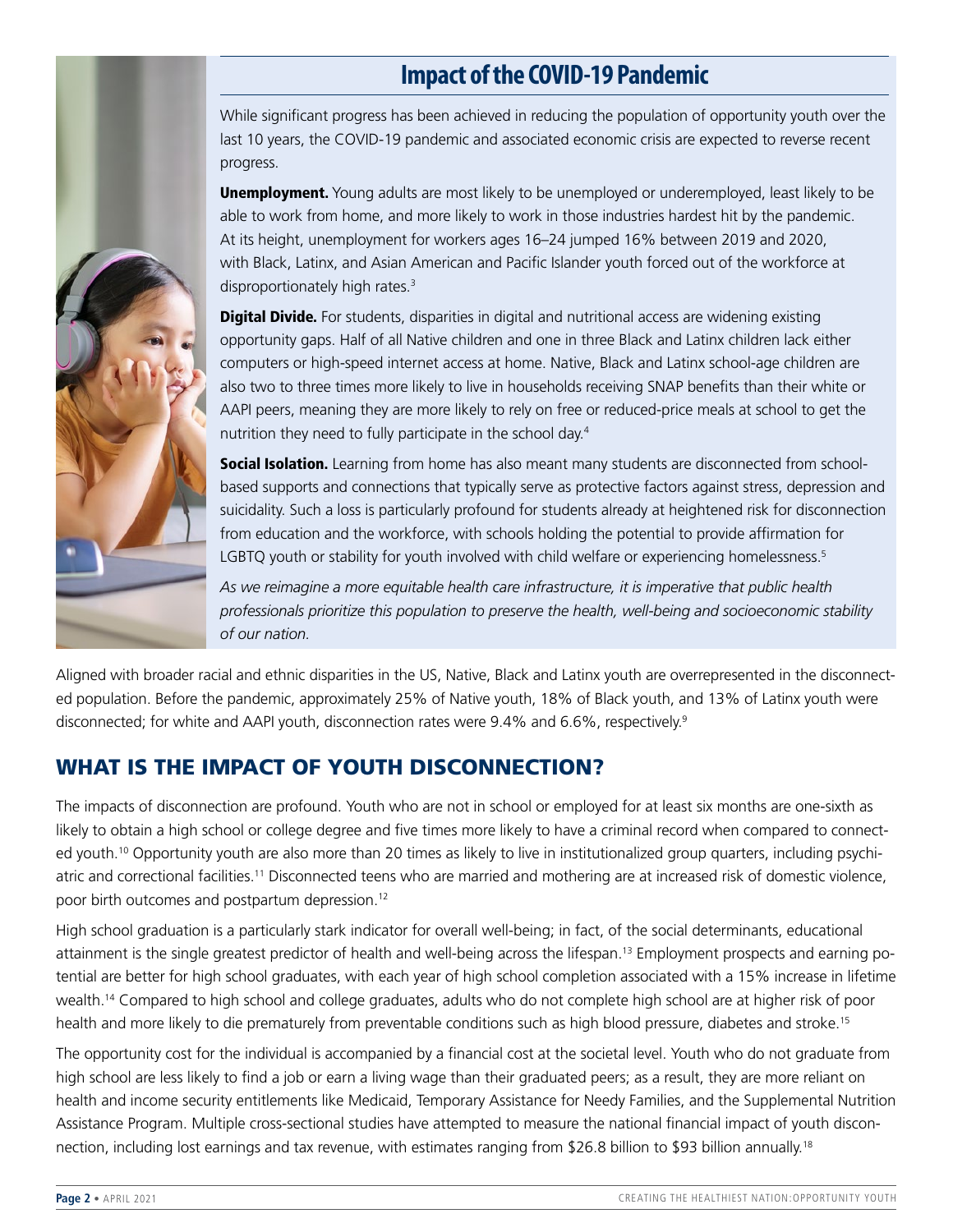# **Impact of the COVID-19 Pandemic**

While significant progress has been achieved in reducing the population of opportunity youth over the last 10 years, the COVID-19 pandemic and associated economic crisis are expected to reverse recent progress. **Unemployment.** Young adults are most likely to be unemployed or underemployed, least likely to be able to work from home, and more likely to work in those industries hardest hit by the pandemic.

At its height, unemployment for workers ages 16–24 jumped 16% between 2019 and 2020, with Black, Latinx, and Asian American and Pacific Islander youth forced out of the workforce at disproportionately high rates.<sup>3</sup>

**Digital Divide.** For students, disparities in digital and nutritional access are widening existing opportunity gaps. Half of all Native children and one in three Black and Latinx children lack either computers or high-speed internet access at home. Native, Black and Latinx school-age children are also two to three times more likely to live in households receiving SNAP benefits than their white or AAPI peers, meaning they are more likely to rely on free or reduced-price meals at school to get the nutrition they need to fully participate in the school day[.4](#page-5-14)

**Social Isolation.** Learning from home has also meant many students are disconnected from schoolbased supports and connections that typically serve as protective factors against stress, depression and suicidality. Such a loss is particularly profound for students already at heightened risk for disconnection from education and the workforce, with schools holding the potential to provide affirmation for LGBTQ youth or stability for youth involved with child welfare or experiencing homelessness.<sup>[5](#page-5-15)</sup>

*As we reimagine a more equitable health care infrastructure, it is imperative that public health professionals prioritize this population to preserve the health, well-being and socioeconomic stability of our nation.*

Aligned with broader racial and ethnic disparities in the US, Native, Black and Latinx youth are overrepresented in the disconnected population. Before the pandemic, approximately 25% of Native youth, 18% of Black youth, and 13% of Latinx youth were disconnected; for white and AAPI youth, disconnection rates were 9.4% and 6.6%, respectively.<sup>9</sup>

# WHAT IS THE IMPACT OF YOUTH DISCONNECTION?

The impacts of disconnection are profound. Youth who are not in school or employed for at least six months are one-sixth as likely to obtain a high school or college degree and five times more likely to have a criminal record when compared to connected youth[.10](#page-5-6) Opportunity youth are also more than 20 times as likely to live in institutionalized group quarters, including psychiatric and correctional facilities.[11](#page-5-7) Disconnected teens who are married and mothering are at increased risk of domestic violence, poor birth outcomes and postpartum depression[.12](#page-5-8)

High school graduation is a particularly stark indicator for overall well-being; in fact, of the social determinants, educational attainment is the single greatest predictor of health and well-being across the lifespan.[13](#page-5-9) Employment prospects and earning potential are better for high school graduates, with each year of high school completion associated with a 15% increase in lifetime wealth[.14](#page-5-10) Compared to high school and college graduates, adults who do not complete high school are at higher risk of poor health and more likely to die prematurely from preventable conditions such as high blood pressure, diabetes and stroke.[15](#page-5-11)

The opportunity cost for the individual is accompanied by a financial cost at the societal level. Youth who do not graduate from high school are less likely to find a job or earn a living wage than their graduated peers; as a result, they are more reliant on health and income security entitlements like Medicaid, Temporary Assistance for Needy Families, and the Supplemental Nutrition Assistance Program. Multiple cross-sectional studies have attempted to measure the national financial impact of youth discon-nection, including lost earnings and tax revenue, with estimates ranging from \$26.8 billion to \$93 billion annually.<sup>[18](#page-5-12)</sup>

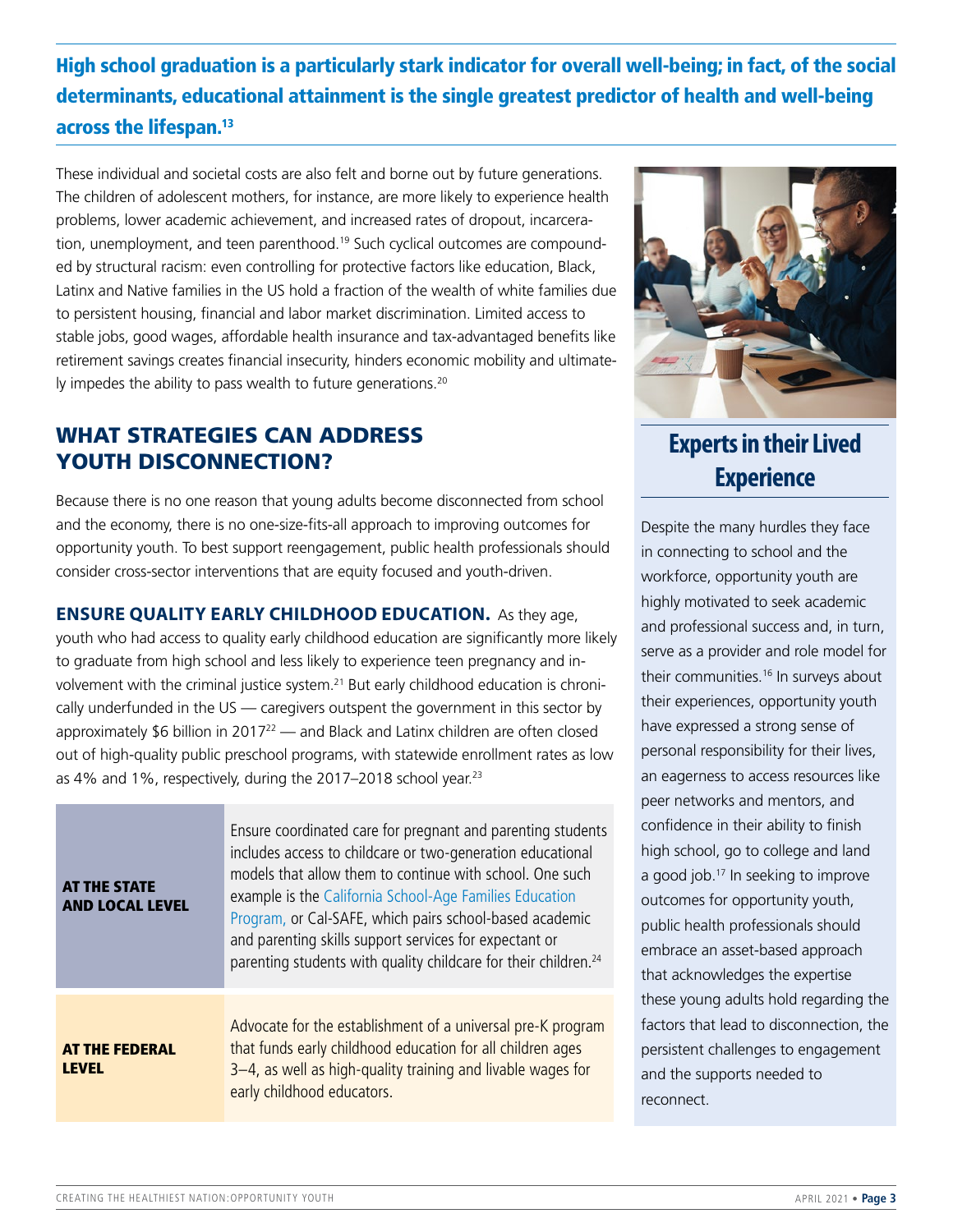High school graduation is a particularly stark indicator for overall well-being; in fact, of the social determinants, educational attainment is the single greatest predictor of health and well-being across the lifespan.<sup>[13](#page-5-9)</sup>

These individual and societal costs are also felt and borne out by future generations. The children of adolescent mothers, for instance, are more likely to experience health problems, lower academic achievement, and increased rates of dropout, incarceration, unemployment, and teen parenthood.<sup>19</sup> Such cyclical outcomes are compounded by structural racism: even controlling for protective factors like education, Black, Latinx and Native families in the US hold a fraction of the wealth of white families due to persistent housing, financial and labor market discrimination. Limited access to stable jobs, good wages, affordable health insurance and tax-advantaged benefits like retirement savings creates financial insecurity, hinders economic mobility and ultimately impedes the ability to pass wealth to future generations.<sup>20</sup>

## WHAT STRATEGIES CAN ADDRESS YOUTH DISCONNECTION?

Because there is no one reason that young adults become disconnected from school and the economy, there is no one-size-fits-all approach to improving outcomes for opportunity youth. To best support reengagement, public health professionals should consider cross-sector interventions that are equity focused and youth-driven.

**ENSURE QUALITY EARLY CHILDHOOD EDUCATION.** As they age, youth who had access to quality early childhood education are significantly more likely

to graduate from high school and less likely to experience teen pregnancy and in-volvement with the criminal justice system.<sup>[21](#page-5-18)</sup> But early childhood education is chronically underfunded in the US — caregivers outspent the government in this sector by approximately \$6 billion in 2017<sup>22</sup> — and Black and Latinx children are often closed out of high-quality public preschool programs, with statewide enrollment rates as low as 4% and 1%, respectively, during the 2017-2018 school year.<sup>[23](#page-5-20)</sup>

| <b>AT THE STATE</b><br><b>AND LOCAL LEVEL</b> | Ensure coordinated care for pregnant and parenting students<br>includes access to childcare or two-generation educational<br>models that allow them to continue with school. One such<br>example is the California School-Age Families Education<br>Program, or Cal-SAFE, which pairs school-based academic<br>and parenting skills support services for expectant or<br>parenting students with quality childcare for their children. <sup>24</sup> |  |
|-----------------------------------------------|------------------------------------------------------------------------------------------------------------------------------------------------------------------------------------------------------------------------------------------------------------------------------------------------------------------------------------------------------------------------------------------------------------------------------------------------------|--|
| <b>AT THE FEDERAL</b><br>I FVFI.              | Advocate for the establishment of a universal pre-K program<br>that funds early childhood education for all children ages<br>3-4, as well as high-quality training and livable wages for<br>early childhood educators.                                                                                                                                                                                                                               |  |



**Experts in their Lived Experience**

Despite the many hurdles they face in connecting to school and the workforce, opportunity youth are highly motivated to seek academic and professional success and, in turn, serve as a provider and role model for their communities.<sup>16</sup> In surveys about their experiences, opportunity youth have expressed a strong sense of personal responsibility for their lives, an eagerness to access resources like peer networks and mentors, and confidence in their ability to finish high school, go to college and land a good job.<sup>17</sup> In seeking to improve outcomes for opportunity youth, public health professionals should embrace an asset-based approach that acknowledges the expertise these young adults hold regarding the factors that lead to disconnection, the persistent challenges to engagement and the supports needed to reconnect.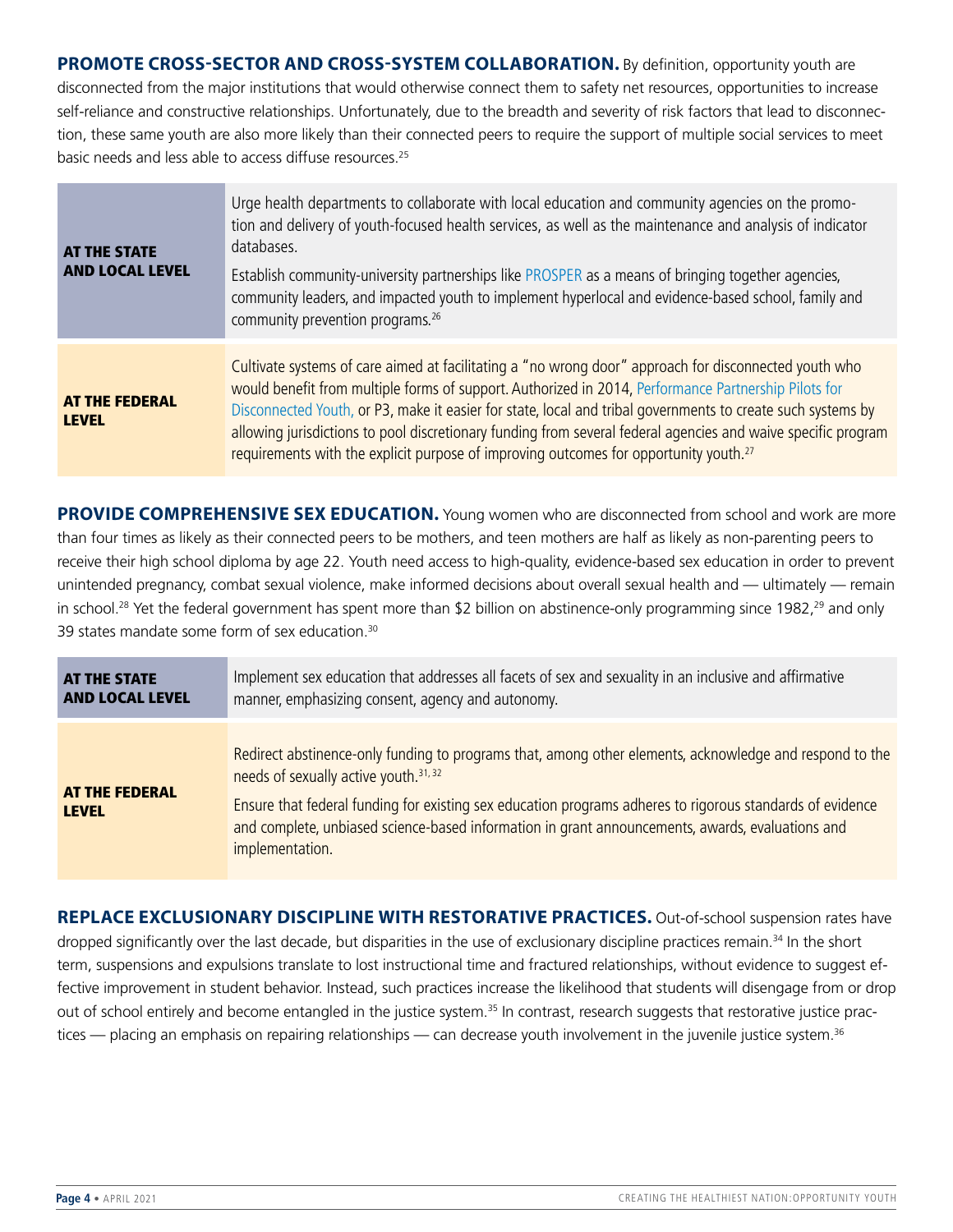**PROMOTE CROSS-SECTOR AND CROSS-SYSTEM COLLABORATION.** By definition, opportunity youth are disconnected from the major institutions that would otherwise connect them to safety net resources, opportunities to increase self-reliance and constructive relationships. Unfortunately, due to the breadth and severity of risk factors that lead to disconnection, these same youth are also more likely than their connected peers to require the support of multiple social services to meet basic needs and less able to access diffuse resources[.25](#page-5-24)

| <b>AT THE STATE</b><br><b>AND LOCAL LEVEL</b> | Urge health departments to collaborate with local education and community agencies on the promo-<br>tion and delivery of youth-focused health services, as well as the maintenance and analysis of indicator<br>databases.<br>Establish community-university partnerships like PROSPER as a means of bringing together agencies,<br>community leaders, and impacted youth to implement hyperlocal and evidence-based school, family and<br>community prevention programs. <sup>26</sup>                                                            |
|-----------------------------------------------|----------------------------------------------------------------------------------------------------------------------------------------------------------------------------------------------------------------------------------------------------------------------------------------------------------------------------------------------------------------------------------------------------------------------------------------------------------------------------------------------------------------------------------------------------|
| <b>AT THE FEDERAL</b><br><b>LEVEL</b>         | Cultivate systems of care aimed at facilitating a "no wrong door" approach for disconnected youth who<br>would benefit from multiple forms of support. Authorized in 2014, Performance Partnership Pilots for<br>Disconnected Youth, or P3, make it easier for state, local and tribal governments to create such systems by<br>allowing jurisdictions to pool discretionary funding from several federal agencies and waive specific program<br>requirements with the explicit purpose of improving outcomes for opportunity youth. <sup>27</sup> |

**PROVIDE COMPREHENSIVE SEX EDUCATION.** Young women who are disconnected from school and work are more than four times as likely as their connected peers to be mothers, and teen mothers are half as likely as non-parenting peers to receive their high school diploma by age 22. Youth need access to high-quality, evidence-based sex education in order to prevent unintended pregnancy, combat sexual violence, make informed decisions about overall sexual health and — ultimately — remain in school.<sup>28</sup> Yet the federal government has spent more than \$2 billion on abstinence-only programming since 1982,<sup>29</sup> and only 39 states mandate some form of sex education.<sup>30</sup>

| <b>AT THE STATE</b>                   | Implement sex education that addresses all facets of sex and sexuality in an inclusive and affirmative                                                                                                                                                                                                                                                                                           |
|---------------------------------------|--------------------------------------------------------------------------------------------------------------------------------------------------------------------------------------------------------------------------------------------------------------------------------------------------------------------------------------------------------------------------------------------------|
| <b>AND LOCAL LEVEL</b>                | manner, emphasizing consent, agency and autonomy.                                                                                                                                                                                                                                                                                                                                                |
| <b>AT THE FEDERAL</b><br><b>LEVEL</b> | Redirect abstinence-only funding to programs that, among other elements, acknowledge and respond to the<br>needs of sexually active youth. <sup>31, 32</sup><br>Ensure that federal funding for existing sex education programs adheres to rigorous standards of evidence<br>and complete, unbiased science-based information in grant announcements, awards, evaluations and<br>implementation. |

**REPLACE EXCLUSIONARY DISCIPLINE WITH RESTORATIVE PRACTICES.** Out-of-school suspension rates have dropped significantly over the last decade, but disparities in the use of exclusionary discipline practices remain.<sup>[34](#page-5-32)</sup> In the short term, suspensions and expulsions translate to lost instructional time and fractured relationships, without evidence to suggest effective improvement in student behavior. Instead, such practices increase the likelihood that students will disengage from or drop out of school entirely and become entangled in the justice system.<sup>35</sup> In contrast, research suggests that restorative justice practices — placing an emphasis on repairing relationships — can decrease youth involvement in the juvenile justice system.<sup>36</sup>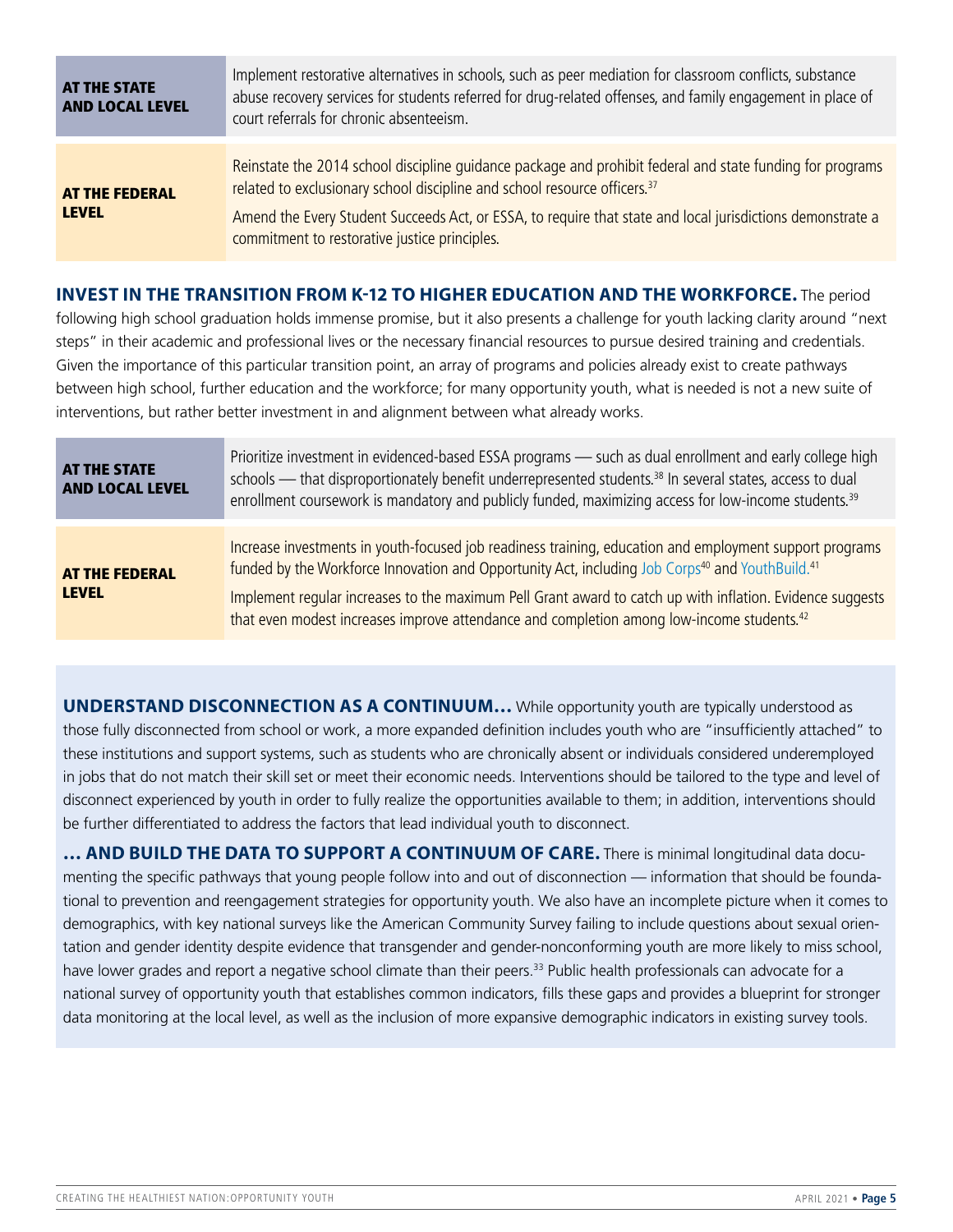| <b>AT THE STATE</b><br><b>AND LOCAL LEVEL</b> | Implement restorative alternatives in schools, such as peer mediation for classroom conflicts, substance<br>abuse recovery services for students referred for drug-related offenses, and family engagement in place of<br>court referrals for chronic absenteeism.                                                                                                |
|-----------------------------------------------|-------------------------------------------------------------------------------------------------------------------------------------------------------------------------------------------------------------------------------------------------------------------------------------------------------------------------------------------------------------------|
| <b>AT THE FEDERAL</b><br><b>LEVEL</b>         | Reinstate the 2014 school discipline guidance package and prohibit federal and state funding for programs<br>related to exclusionary school discipline and school resource officers. <sup>37</sup><br>Amend the Every Student Succeeds Act, or ESSA, to require that state and local jurisdictions demonstrate a<br>commitment to restorative justice principles. |

#### **INVEST IN THE TRANSITION FROM K-12 TO HIGHER EDUCATION AND THE WORKFORCE.** The period

following high school graduation holds immense promise, but it also presents a challenge for youth lacking clarity around "next steps" in their academic and professional lives or the necessary financial resources to pursue desired training and credentials. Given the importance of this particular transition point, an array of programs and policies already exist to create pathways between high school, further education and the workforce; for many opportunity youth, what is needed is not a new suite of interventions, but rather better investment in and alignment between what already works.

| <b>AT THE STATE</b><br><b>AND LOCAL LEVEL</b> | Prioritize investment in evidenced-based ESSA programs - such as dual enrollment and early college high<br>schools - that disproportionately benefit underrepresented students. <sup>38</sup> In several states, access to dual<br>enrollment coursework is mandatory and publicly funded, maximizing access for low-income students. <sup>39</sup> |
|-----------------------------------------------|-----------------------------------------------------------------------------------------------------------------------------------------------------------------------------------------------------------------------------------------------------------------------------------------------------------------------------------------------------|
|                                               |                                                                                                                                                                                                                                                                                                                                                     |
| <b>AT THE FEDERAL</b><br><b>LEVEL</b>         | Increase investments in youth-focused job readiness training, education and employment support programs<br>funded by the Workforce Innovation and Opportunity Act, including Job Corps <sup>40</sup> and YouthBuild. <sup>41</sup>                                                                                                                  |
|                                               | Implement regular increases to the maximum Pell Grant award to catch up with inflation. Evidence suggests<br>that even modest increases improve attendance and completion among low-income students. <sup>42</sup>                                                                                                                                  |

**UNDERSTAND DISCONNECTION AS A CONTINUUM…** While opportunity youth are typically understood as those fully disconnected from school or work, a more expanded definition includes youth who are "insufficiently attached" to these institutions and support systems, such as students who are chronically absent or individuals considered underemployed in jobs that do not match their skill set or meet their economic needs. Interventions should be tailored to the type and level of disconnect experienced by youth in order to fully realize the opportunities available to them; in addition, interventions should be further differentiated to address the factors that lead individual youth to disconnect.

**… AND BUILD THE DATA TO SUPPORT A CONTINUUM OF CARE.** There is minimal longitudinal data documenting the specific pathways that young people follow into and out of disconnection — information that should be foundational to prevention and reengagement strategies for opportunity youth. We also have an incomplete picture when it comes to demographics, with key national surveys like the American Community Survey failing to include questions about sexual orientation and gender identity despite evidence that transgender and gender-nonconforming youth are more likely to miss school, have lower grades and report a negative school climate than their peers.<sup>33</sup> Public health professionals can advocate for a national survey of opportunity youth that establishes common indicators, fills these gaps and provides a blueprint for stronger data monitoring at the local level, as well as the inclusion of more expansive demographic indicators in existing survey tools.